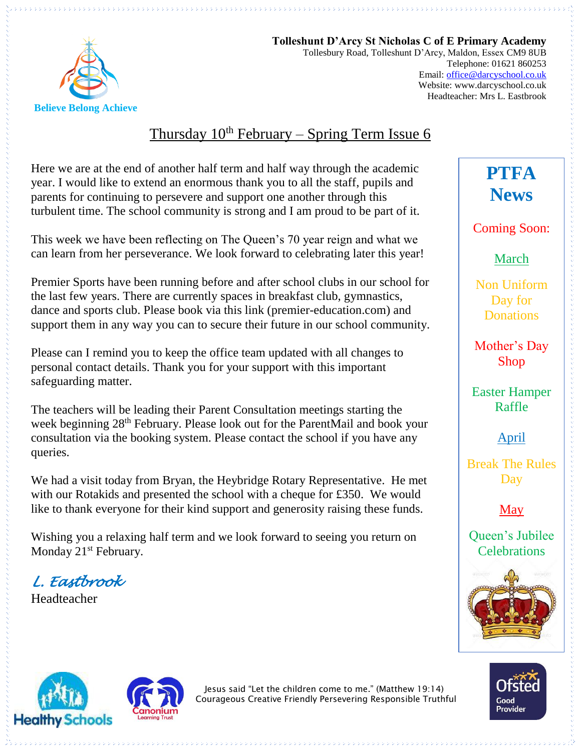

**Tolleshunt D'Arcy St Nicholas C of E Primary Academy** Tollesbury Road, Tolleshunt D'Arcy, Maldon, Essex CM9 8UB Telephone: 01621 860253 Email[: office@darcyschool.co.uk](mailto:office@darcyschool.co.uk) Website: www.darcyschool.co.uk Headteacher: Mrs L. Eastbrook

# Thursday  $10^{th}$  February – Spring Term Issue 6

Here we are at the end of another half term and half way through the academic year. I would like to extend an enormous thank you to all the staff, pupils and parents for continuing to persevere and support one another through this turbulent time. The school community is strong and I am proud to be part of it.

This week we have been reflecting on The Queen's 70 year reign and what we can learn from her perseverance. We look forward to celebrating later this year!

Premier Sports have been running before and after school clubs in our school for the last few years. There are currently spaces in breakfast club, gymnastics, dance and sports club. Please book via this link (premier-education.com) and support them in any way you can to secure their future in our school community.

Please can I remind you to keep the office team updated with all changes to personal contact details. Thank you for your support with this important safeguarding matter.

The teachers will be leading their Parent Consultation meetings starting the week beginning 28<sup>th</sup> February. Please look out for the ParentMail and book your consultation via the booking system. Please contact the school if you have any queries.

We had a visit today from Bryan, the Heybridge Rotary Representative. He met with our Rotakids and presented the school with a cheque for £350. We would like to thank everyone for their kind support and generosity raising these funds.

Wishing you a relaxing half term and we look forward to seeing you return on Monday 21<sup>st</sup> February.

*L. Eastbrook* 

Headteacher

**PTFA News**

Coming Soon:

March

Non Uniform Day for **Donations** 

Mother's Day Shop

Easter Hamper Raffle

April

Break The Rules Day

May

Queen's Jubilee **Celebrations** 







Jesus said "Let the children come to me." (Matthew 19:14) Courageous Creative Friendly Persevering Responsible Truthful